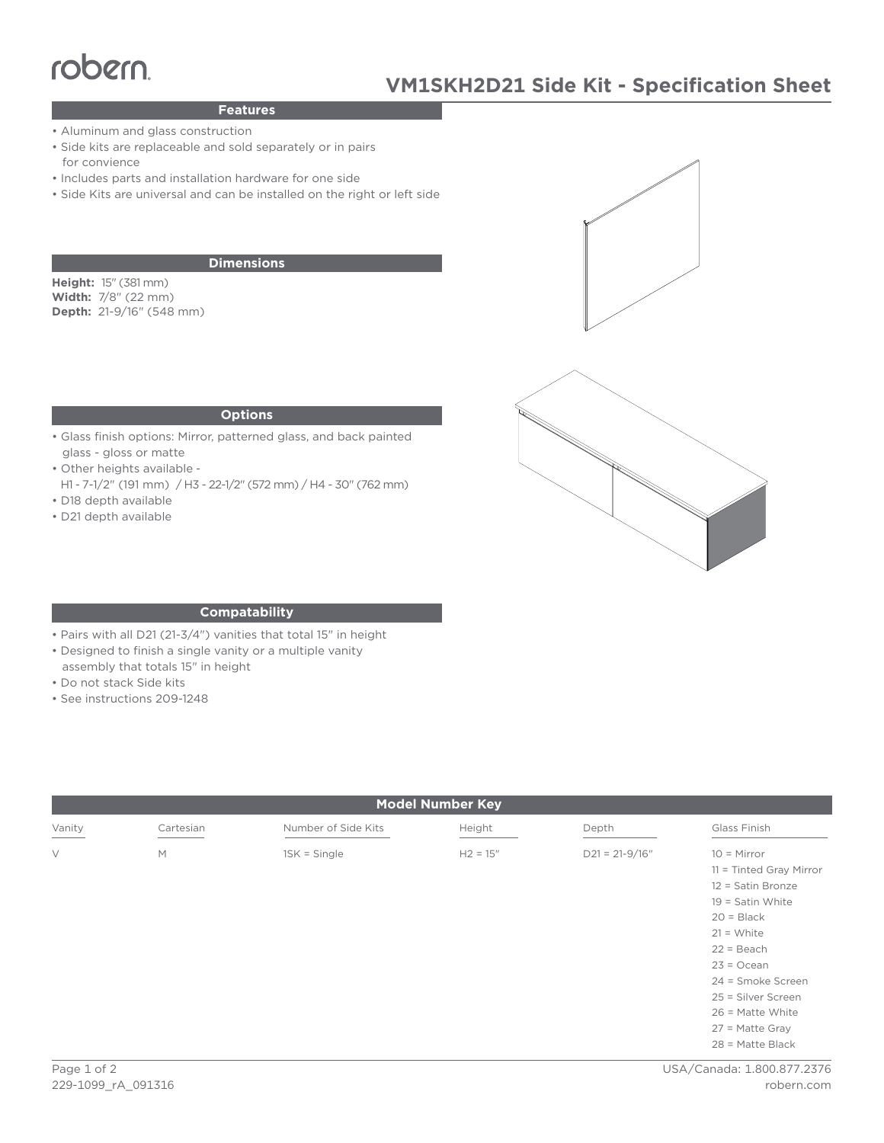# $\frac{1}{2}$

## **Features**

- Aluminum and glass construction
- Side kits are replaceable and sold separately or in pairs for convience
- Includes parts and installation hardware for one side
- Side Kits are universal and can be installed on the right or left side

### **Dimensions**

**Height:** 15" (381 mm) **Width:** 7/8" (22 mm) **Depth:** 21-9/16" (548 mm)





#### **Options**

- Glass finish options: Mirror, patterned glass, and back painted glass - gloss or matte
- Other heights available -
- H1 7-1/2" (191 mm) / H3 22-1/2" (572 mm) / H4 30" (762 mm) • D18 depth available
- D21 depth available

## **Compatability**

- Pairs with all D21 (21-3/4") vanities that total 15" in height
- Designed to finish a single vanity or a multiple vanity
- assembly that totals 15" in height
- Do not stack Side kits
- See instructions 209-1248

| <b>Model Number Key</b> |           |                     |            |                  |                                                                                                                                                                                                                        |
|-------------------------|-----------|---------------------|------------|------------------|------------------------------------------------------------------------------------------------------------------------------------------------------------------------------------------------------------------------|
| Vanity                  | Cartesian | Number of Side Kits | Height     | Depth            | Glass Finish                                                                                                                                                                                                           |
| $\vee$                  | M         | $1SK = Single$      | $H2 = 15"$ | $D21 = 21-9/16"$ | $10 =$ Mirror<br>$11 =$ Tinted Gray Mirror<br>12 = Satin Bronze<br>$19 =$ Satin White<br>$20 = Black$<br>$21 = White$<br>$22 = Beach$<br>$23 = Ocean$<br>24 = Smoke Screen<br>25 = Silver Screen<br>$26$ = Matte White |
|                         |           |                     |            |                  | $27$ = Matte Gray<br>$28$ = Matte Black                                                                                                                                                                                |